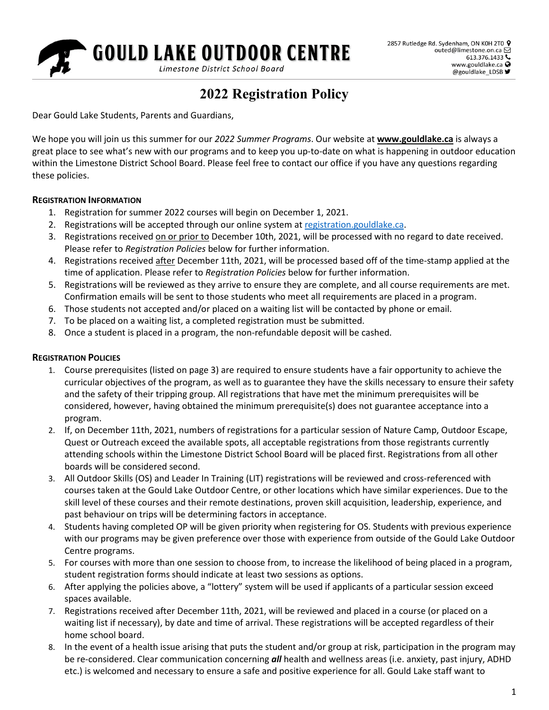

# **2022 Registration Policy**

Dear Gould Lake Students, Parents and Guardians,

We hope you will join us this summer for our *2022 Summer Programs*. Our website at **[www.gouldlake.ca](http://www.gouldlake.ca/)** is always a great place to see what's new with our programs and to keep you up-to-date on what is happening in outdoor education within the Limestone District School Board. Please feel free to contact our office if you have any questions regarding these policies.

#### **REGISTRATION INFORMATION**

- 1. Registration for summer 2022 courses will begin on December 1, 2021.
- 2. Registrations will be accepted through our online system at [registration.gouldlake.ca.](http://outed.limestone.on.ca/regfiles/)
- 3. Registrations received on or prior to December 10th, 2021, will be processed with no regard to date received. Please refer to *Registration Policies* below for further information.
- 4. Registrations received after December 11th, 2021, will be processed based off of the time-stamp applied at the time of application. Please refer to *Registration Policies* below for further information.
- 5. Registrations will be reviewed as they arrive to ensure they are complete, and all course requirements are met. Confirmation emails will be sent to those students who meet all requirements are placed in a program.
- 6. Those students not accepted and/or placed on a waiting list will be contacted by phone or email.
- 7. To be placed on a waiting list, a completed registration must be submitted.
- 8. Once a student is placed in a program, the non-refundable deposit will be cashed.

#### **REGISTRATION POLICIES**

- 1. Course prerequisites (listed on page 3) are required to ensure students have a fair opportunity to achieve the curricular objectives of the program, as well as to guarantee they have the skills necessary to ensure their safety and the safety of their tripping group. All registrations that have met the minimum prerequisites will be considered, however, having obtained the minimum prerequisite(s) does not guarantee acceptance into a program.
- 2. If, on December 11th, 2021, numbers of registrations for a particular session of Nature Camp, Outdoor Escape, Quest or Outreach exceed the available spots, all acceptable registrations from those registrants currently attending schools within the Limestone District School Board will be placed first. Registrations from all other boards will be considered second.
- 3. All Outdoor Skills (OS) and Leader In Training (LIT) registrations will be reviewed and cross-referenced with courses taken at the Gould Lake Outdoor Centre, or other locations which have similar experiences. Due to the skill level of these courses and their remote destinations, proven skill acquisition, leadership, experience, and past behaviour on trips will be determining factors in acceptance.
- 4. Students having completed OP will be given priority when registering for OS. Students with previous experience with our programs may be given preference over those with experience from outside of the Gould Lake Outdoor Centre programs.
- 5. For courses with more than one session to choose from, to increase the likelihood of being placed in a program, student registration forms should indicate at least two sessions as options.
- 6. After applying the policies above, a "lottery" system will be used if applicants of a particular session exceed spaces available.
- 7. Registrations received after December 11th, 2021, will be reviewed and placed in a course (or placed on a waiting list if necessary), by date and time of arrival. These registrations will be accepted regardless of their home school board.
- 8. In the event of a health issue arising that puts the student and/or group at risk, participation in the program may be re-considered. Clear communication concerning *all* health and wellness areas (i.e. anxiety, past injury, ADHD etc.) is welcomed and necessary to ensure a safe and positive experience for all. Gould Lake staff want to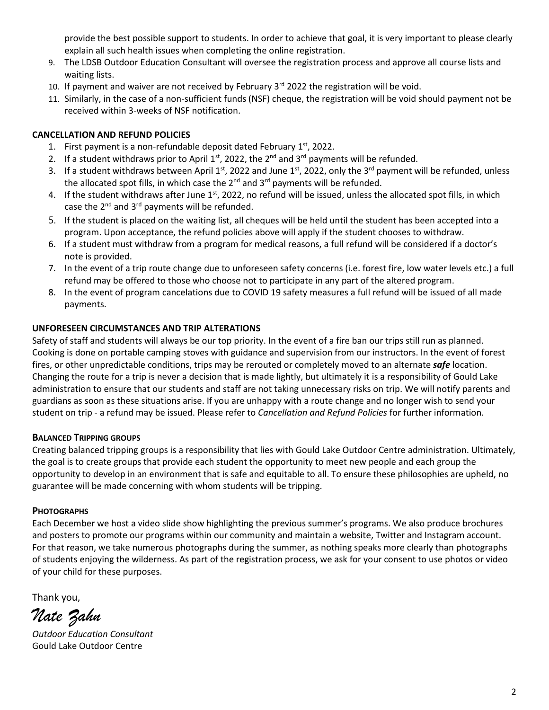provide the best possible support to students. In order to achieve that goal, it is very important to please clearly explain all such health issues when completing the online registration.

- 9. The LDSB Outdoor Education Consultant will oversee the registration process and approve all course lists and waiting lists.
- 10. If payment and waiver are not received by February  $3<sup>rd</sup>$  2022 the registration will be void.
- 11. Similarly, in the case of a non-sufficient funds (NSF) cheque, the registration will be void should payment not be received within 3-weeks of NSF notification.

## **CANCELLATION AND REFUND POLICIES**

- 1. First payment is a non-refundable deposit dated February  $1<sup>st</sup>$ , 2022.
- 2. If a student withdraws prior to April  $1^{st}$ , 2022, the  $2^{nd}$  and  $3^{rd}$  payments will be refunded.
- 3. If a student withdraws between April 1<sup>st</sup>, 2022 and June 1<sup>st</sup>, 2022, only the 3<sup>rd</sup> payment will be refunded, unless the allocated spot fills, in which case the  $2^{nd}$  and  $3^{rd}$  payments will be refunded.
- 4. If the student withdraws after June 1<sup>st</sup>, 2022, no refund will be issued, unless the allocated spot fills, in which case the  $2^{nd}$  and  $3^{rd}$  payments will be refunded.
- 5. If the student is placed on the waiting list, all cheques will be held until the student has been accepted into a program. Upon acceptance, the refund policies above will apply if the student chooses to withdraw.
- 6. If a student must withdraw from a program for medical reasons, a full refund will be considered if a doctor's note is provided.
- 7. In the event of a trip route change due to unforeseen safety concerns (i.e. forest fire, low water levels etc.) a full refund may be offered to those who choose not to participate in any part of the altered program.
- 8. In the event of program cancelations due to COVID 19 safety measures a full refund will be issued of all made payments.

### **UNFORESEEN CIRCUMSTANCES AND TRIP ALTERATIONS**

Safety of staff and students will always be our top priority. In the event of a fire ban our trips still run as planned. Cooking is done on portable camping stoves with guidance and supervision from our instructors. In the event of forest fires, or other unpredictable conditions, trips may be rerouted or completely moved to an alternate *safe* location. Changing the route for a trip is never a decision that is made lightly, but ultimately it is a responsibility of Gould Lake administration to ensure that our students and staff are not taking unnecessary risks on trip. We will notify parents and guardians as soon as these situations arise. If you are unhappy with a route change and no longer wish to send your student on trip - a refund may be issued. Please refer to *Cancellation and Refund Policies* for further information.

### **BALANCED TRIPPING GROUPS**

Creating balanced tripping groups is a responsibility that lies with Gould Lake Outdoor Centre administration. Ultimately, the goal is to create groups that provide each student the opportunity to meet new people and each group the opportunity to develop in an environment that is safe and equitable to all. To ensure these philosophies are upheld, no guarantee will be made concerning with whom students will be tripping.

### **PHOTOGRAPHS**

Each December we host a video slide show highlighting the previous summer's programs. We also produce brochures and posters to promote our programs within our community and maintain a website, Twitter and Instagram account. For that reason, we take numerous photographs during the summer, as nothing speaks more clearly than photographs of students enjoying the wilderness. As part of the registration process, we ask for your consent to use photos or video of your child for these purposes.

Thank you,

*Nate Zahn*

*Outdoor Education Consultant* Gould Lake Outdoor Centre